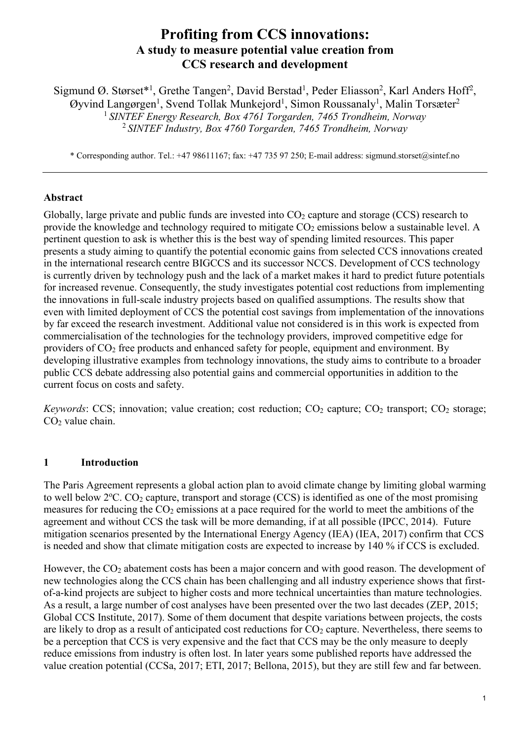# **Profiting from CCS innovations: A study to measure potential value creation from CCS research and development**

Sigmund Ø. Størset\*<sup>1</sup>, Grethe Tangen<sup>2</sup>, David Berstad<sup>1</sup>, Peder Eliasson<sup>2</sup>, Karl Anders Hoff<sup>2</sup>,

Øyvind Langørgen $^{\rm l}$ , Svend Tollak Munkejord $^{\rm l}$ , Simon Roussanaly $^{\rm l}$ , Malin Torsæter $^{\rm 2}$ <sup>1</sup>*SINTEF Energy Research, Box 4761 Torgarden, 7465 Trondheim, Norway* <sup>2</sup>*SINTEF Industry, Box 4760 Torgarden, 7465 Trondheim, Norway*

\* Corresponding author. Tel.: +47 98611167; fax: +47 735 97 250; E-mail address: sigmund.storset@sintef.no

#### **Abstract**

Globally, large private and public funds are invested into  $CO<sub>2</sub>$  capture and storage (CCS) research to provide the knowledge and technology required to mitigate  $CO_2$  emissions below a sustainable level. A pertinent question to ask is whether this is the best way of spending limited resources. This paper presents a study aiming to quantify the potential economic gains from selected CCS innovations created in the international research centre BIGCCS and its successor NCCS. Development of CCS technology is currently driven by technology push and the lack of a market makes it hard to predict future potentials for increased revenue. Consequently, the study investigates potential cost reductions from implementing the innovations in full-scale industry projects based on qualified assumptions. The results show that even with limited deployment of CCS the potential cost savings from implementation of the innovations by far exceed the research investment. Additional value not considered is in this work is expected from commercialisation of the technologies for the technology providers, improved competitive edge for providers of CO<sub>2</sub> free products and enhanced safety for people, equipment and environment. By developing illustrative examples from technology innovations, the study aims to contribute to a broader public CCS debate addressing also potential gains and commercial opportunities in addition to the current focus on costs and safety.

*Keywords*: CCS; innovation; value creation; cost reduction; CO<sub>2</sub> capture; CO<sub>2</sub> transport; CO<sub>2</sub> storage; CO2 value chain.

### **1 Introduction**

The Paris Agreement represents a global action plan to avoid climate change by limiting global warming to well below  $2^{\circ}$ C. CO<sub>2</sub> capture, transport and storage (CCS) is identified as one of the most promising measures for reducing the  $CO<sub>2</sub>$  emissions at a pace required for the world to meet the ambitions of the agreement and without CCS the task will be more demanding, if at all possible (IPCC, 2014). Future mitigation scenarios presented by the International Energy Agency (IEA) (IEA, 2017) confirm that CCS is needed and show that climate mitigation costs are expected to increase by 140 % if CCS is excluded.

However, the CO<sub>2</sub> abatement costs has been a major concern and with good reason. The development of new technologies along the CCS chain has been challenging and all industry experience shows that firstof-a-kind projects are subject to higher costs and more technical uncertainties than mature technologies. As a result, a large number of cost analyses have been presented over the two last decades (ZEP, 2015; Global CCS Institute, 2017). Some of them document that despite variations between projects, the costs are likely to drop as a result of anticipated cost reductions for  $CO<sub>2</sub>$  capture. Nevertheless, there seems to be a perception that CCS is very expensive and the fact that CCS may be the only measure to deeply reduce emissions from industry is often lost. In later years some published reports have addressed the value creation potential (CCSa, 2017; ETI, 2017; Bellona, 2015), but they are still few and far between.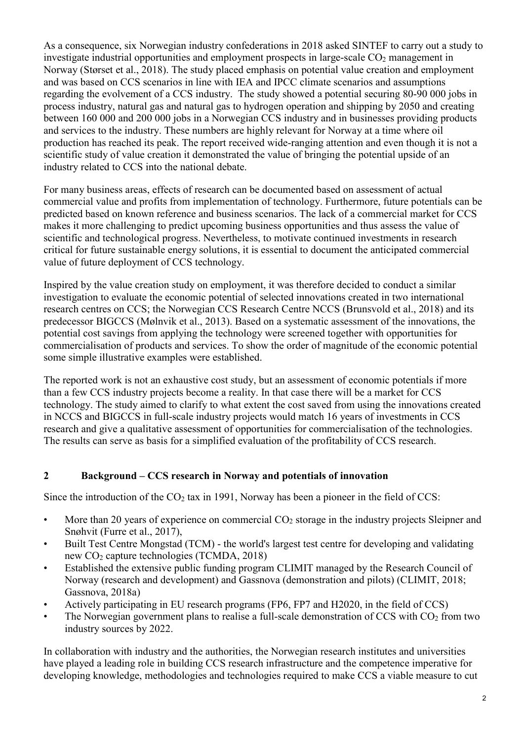As a consequence, six Norwegian industry confederations in 2018 asked SINTEF to carry out a study to investigate industrial opportunities and employment prospects in large-scale  $CO<sub>2</sub>$  management in Norway (Størset et al., 2018). The study placed emphasis on potential value creation and employment and was based on CCS scenarios in line with IEA and IPCC climate scenarios and assumptions regarding the evolvement of a CCS industry. The study showed a potential securing 80-90 000 jobs in process industry, natural gas and natural gas to hydrogen operation and shipping by 2050 and creating between 160 000 and 200 000 jobs in a Norwegian CCS industry and in businesses providing products and services to the industry. These numbers are highly relevant for Norway at a time where oil production has reached its peak. The report received wide-ranging attention and even though it is not a scientific study of value creation it demonstrated the value of bringing the potential upside of an industry related to CCS into the national debate.

For many business areas, effects of research can be documented based on assessment of actual commercial value and profits from implementation of technology. Furthermore, future potentials can be predicted based on known reference and business scenarios. The lack of a commercial market for CCS makes it more challenging to predict upcoming business opportunities and thus assess the value of scientific and technological progress. Nevertheless, to motivate continued investments in research critical for future sustainable energy solutions, it is essential to document the anticipated commercial value of future deployment of CCS technology.

Inspired by the value creation study on employment, it was therefore decided to conduct a similar investigation to evaluate the economic potential of selected innovations created in two international research centres on CCS; the Norwegian CCS Research Centre NCCS (Brunsvold et al., 2018) and its predecessor BIGCCS (Mølnvik et al., 2013). Based on a systematic assessment of the innovations, the potential cost savings from applying the technology were screened together with opportunities for commercialisation of products and services. To show the order of magnitude of the economic potential some simple illustrative examples were established.

The reported work is not an exhaustive cost study, but an assessment of economic potentials if more than a few CCS industry projects become a reality. In that case there will be a market for CCS technology. The study aimed to clarify to what extent the cost saved from using the innovations created in NCCS and BIGCCS in full-scale industry projects would match 16 years of investments in CCS research and give a qualitative assessment of opportunities for commercialisation of the technologies. The results can serve as basis for a simplified evaluation of the profitability of CCS research.

## **2 Background – CCS research in Norway and potentials of innovation**

Since the introduction of the  $CO<sub>2</sub>$  tax in 1991, Norway has been a pioneer in the field of CCS:

- More than 20 years of experience on commercial  $CO<sub>2</sub>$  storage in the industry projects Sleipner and Snøhvit (Furre et al., 2017),
- Built Test Centre Mongstad (TCM) the world's largest test centre for developing and validating new CO2 capture technologies (TCMDA, 2018)
- Established the extensive public funding program CLIMIT managed by the Research Council of Norway (research and development) and Gassnova (demonstration and pilots) (CLIMIT, 2018; Gassnova, 2018a)
- Actively participating in EU research programs (FP6, FP7 and H2020, in the field of CCS)
- The Norwegian government plans to realise a full-scale demonstration of CCS with  $CO<sub>2</sub>$  from two industry sources by 2022.

In collaboration with industry and the authorities, the Norwegian research institutes and universities have played a leading role in building CCS research infrastructure and the competence imperative for developing knowledge, methodologies and technologies required to make CCS a viable measure to cut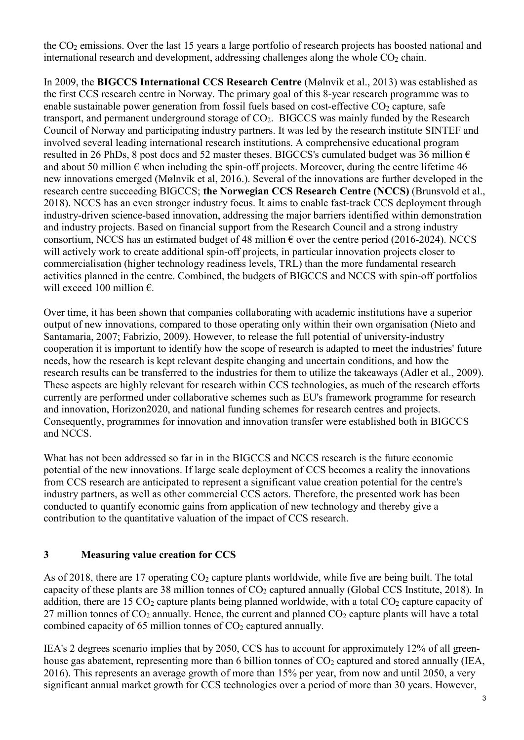the CO2 emissions. Over the last 15 years a large portfolio of research projects has boosted national and international research and development, addressing challenges along the whole  $CO<sub>2</sub>$  chain.

In 2009, the **BIGCCS International CCS Research Centre** (Mølnvik et al., 2013) was established as the first CCS research centre in Norway. The primary goal of this 8-year research programme was to enable sustainable power generation from fossil fuels based on cost-effective  $CO<sub>2</sub>$  capture, safe transport, and permanent underground storage of  $CO<sub>2</sub>$ . BIGCCS was mainly funded by the Research Council of Norway and participating industry partners. It was led by the research institute SINTEF and involved several leading international research institutions. A comprehensive educational program resulted in 26 PhDs, 8 post docs and 52 master theses. BIGCCS's cumulated budget was 36 million  $\epsilon$ and about 50 million  $\epsilon$  when including the spin-off projects. Moreover, during the centre lifetime 46 new innovations emerged (Mølnvik et al, 2016.). Several of the innovations are further developed in the research centre succeeding BIGCCS; **the Norwegian CCS Research Centre (NCCS)** (Brunsvold et al., 2018). NCCS has an even stronger industry focus. It aims to enable fast-track CCS deployment through industry-driven science-based innovation, addressing the major barriers identified within demonstration and industry projects. Based on financial support from the Research Council and a strong industry consortium, NCCS has an estimated budget of 48 million  $\epsilon$  over the centre period (2016-2024). NCCS will actively work to create additional spin-off projects, in particular innovation projects closer to commercialisation (higher technology readiness levels, TRL) than the more fundamental research activities planned in the centre. Combined, the budgets of BIGCCS and NCCS with spin-off portfolios will exceed 100 million €.

Over time, it has been shown that companies collaborating with academic institutions have a superior output of new innovations, compared to those operating only within their own organisation (Nieto and Santamaria, 2007; Fabrizio, 2009). However, to release the full potential of university-industry cooperation it is important to identify how the scope of research is adapted to meet the industries' future needs, how the research is kept relevant despite changing and uncertain conditions, and how the research results can be transferred to the industries for them to utilize the takeaways (Adler et al., 2009). These aspects are highly relevant for research within CCS technologies, as much of the research efforts currently are performed under collaborative schemes such as EU's framework programme for research and innovation, Horizon2020, and national funding schemes for research centres and projects. Consequently, programmes for innovation and innovation transfer were established both in BIGCCS and NCCS.

What has not been addressed so far in in the BIGCCS and NCCS research is the future economic potential of the new innovations. If large scale deployment of CCS becomes a reality the innovations from CCS research are anticipated to represent a significant value creation potential for the centre's industry partners, as well as other commercial CCS actors. Therefore, the presented work has been conducted to quantify economic gains from application of new technology and thereby give a contribution to the quantitative valuation of the impact of CCS research.

### **3 Measuring value creation for CCS**

As of 2018, there are 17 operating  $CO<sub>2</sub>$  capture plants worldwide, while five are being built. The total capacity of these plants are 38 million tonnes of  $CO<sub>2</sub>$  captured annually (Global CCS Institute, 2018). In addition, there are 15  $CO<sub>2</sub>$  capture plants being planned worldwide, with a total  $CO<sub>2</sub>$  capture capacity of 27 million tonnes of  $CO_2$  annually. Hence, the current and planned  $CO_2$  capture plants will have a total combined capacity of 65 million tonnes of  $CO<sub>2</sub>$  captured annually.

IEA's 2 degrees scenario implies that by 2050, CCS has to account for approximately 12% of all greenhouse gas abatement, representing more than 6 billion tonnes of  $CO<sub>2</sub>$  captured and stored annually (IEA, 2016). This represents an average growth of more than 15% per year, from now and until 2050, a very significant annual market growth for CCS technologies over a period of more than 30 years. However,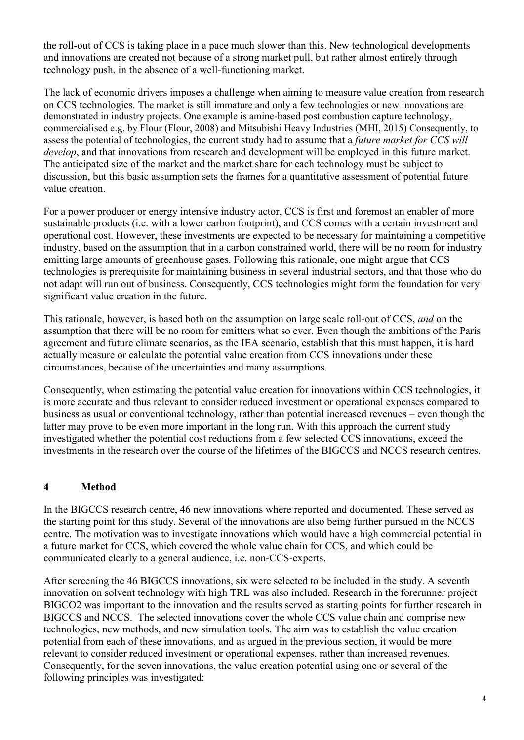the roll-out of CCS is taking place in a pace much slower than this. New technological developments and innovations are created not because of a strong market pull, but rather almost entirely through technology push, in the absence of a well-functioning market.

The lack of economic drivers imposes a challenge when aiming to measure value creation from research on CCS technologies. The market is still immature and only a few technologies or new innovations are demonstrated in industry projects. One example is amine-based post combustion capture technology, commercialised e.g. by Flour (Flour, 2008) and Mitsubishi Heavy Industries (MHI, 2015) Consequently, to assess the potential of technologies, the current study had to assume that a *future market for CCS will develop*, and that innovations from research and development will be employed in this future market. The anticipated size of the market and the market share for each technology must be subject to discussion, but this basic assumption sets the frames for a quantitative assessment of potential future value creation.

For a power producer or energy intensive industry actor, CCS is first and foremost an enabler of more sustainable products (i.e. with a lower carbon footprint), and CCS comes with a certain investment and operational cost. However, these investments are expected to be necessary for maintaining a competitive industry, based on the assumption that in a carbon constrained world, there will be no room for industry emitting large amounts of greenhouse gases. Following this rationale, one might argue that CCS technologies is prerequisite for maintaining business in several industrial sectors, and that those who do not adapt will run out of business. Consequently, CCS technologies might form the foundation for very significant value creation in the future.

This rationale, however, is based both on the assumption on large scale roll-out of CCS, *and* on the assumption that there will be no room for emitters what so ever. Even though the ambitions of the Paris agreement and future climate scenarios, as the IEA scenario, establish that this must happen, it is hard actually measure or calculate the potential value creation from CCS innovations under these circumstances, because of the uncertainties and many assumptions.

Consequently, when estimating the potential value creation for innovations within CCS technologies, it is more accurate and thus relevant to consider reduced investment or operational expenses compared to business as usual or conventional technology, rather than potential increased revenues – even though the latter may prove to be even more important in the long run. With this approach the current study investigated whether the potential cost reductions from a few selected CCS innovations, exceed the investments in the research over the course of the lifetimes of the BIGCCS and NCCS research centres.

## **4 Method**

In the BIGCCS research centre, 46 new innovations where reported and documented. These served as the starting point for this study. Several of the innovations are also being further pursued in the NCCS centre. The motivation was to investigate innovations which would have a high commercial potential in a future market for CCS, which covered the whole value chain for CCS, and which could be communicated clearly to a general audience, i.e. non-CCS-experts.

After screening the 46 BIGCCS innovations, six were selected to be included in the study. A seventh innovation on solvent technology with high TRL was also included. Research in the forerunner project BIGCO2 was important to the innovation and the results served as starting points for further research in BIGCCS and NCCS. The selected innovations cover the whole CCS value chain and comprise new technologies, new methods, and new simulation tools. The aim was to establish the value creation potential from each of these innovations, and as argued in the previous section, it would be more relevant to consider reduced investment or operational expenses, rather than increased revenues. Consequently, for the seven innovations, the value creation potential using one or several of the following principles was investigated: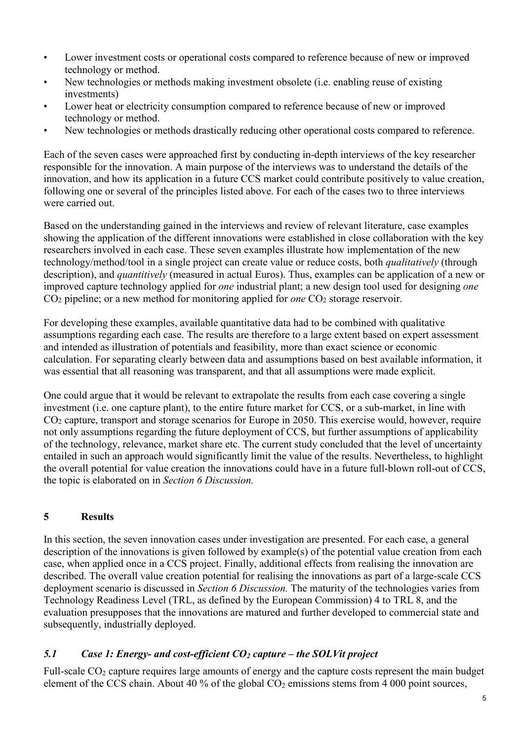- Lower investment costs or operational costs compared to reference because of new or improved technology or method.
- New technologies or methods making investment obsolete (i.e. enabling reuse of existing investments)
- Lower heat or electricity consumption compared to reference because of new or improved technology or method.
- New technologies or methods drastically reducing other operational costs compared to reference.

Each of the seven cases were approached first by conducting in-depth interviews of the key researcher responsible for the innovation. A main purpose of the interviews was to understand the details of the innovation, and how its application in a future CCS market could contribute positively to value creation, following one or several of the principles listed above. For each of the cases two to three interviews were carried out.

Based on the understanding gained in the interviews and review of relevant literature, case examples showing the application of the different innovations were established in close collaboration with the key researchers involved in each case. These seven examples illustrate how implementation of the new technology/method/tool in a single project can create value or reduce costs, both *qualitatively* (through description), and *quantitively* (measured in actual Euros). Thus, examples can be application of a new or improved capture technology applied for *one* industrial plant; a new design tool used for designing *one*  CO<sub>2</sub> pipeline; or a new method for monitoring applied for *one* CO<sub>2</sub> storage reservoir.

For developing these examples, available quantitative data had to be combined with qualitative assumptions regarding each case. The results are therefore to a large extent based on expert assessment and intended as illustration of potentials and feasibility, more than exact science or economic calculation. For separating clearly between data and assumptions based on best available information, it was essential that all reasoning was transparent, and that all assumptions were made explicit.

One could argue that it would be relevant to extrapolate the results from each case covering a single investment (i.e. one capture plant), to the entire future market for CCS, or a sub-market, in line with CO2 capture, transport and storage scenarios for Europe in 2050. This exercise would, however, require not only assumptions regarding the future deployment of CCS, but further assumptions of applicability of the technology, relevance, market share etc. The current study concluded that the level of uncertainty entailed in such an approach would significantly limit the value of the results. Nevertheless, to highlight the overall potential for value creation the innovations could have in a future full-blown roll-out of CCS, the topic is elaborated on in *Section 6 Discussion.*

## **5 Results**

In this section, the seven innovation cases under investigation are presented. For each case, a general description of the innovations is given followed by example(s) of the potential value creation from each case, when applied once in a CCS project. Finally, additional effects from realising the innovation are described. The overall value creation potential for realising the innovations as part of a large-scale CCS deployment scenario is discussed in *Section 6 Discussion.* The maturity of the technologies varies from Technology Readiness Level (TRL, as defined by the European Commission) 4 to TRL 8, and the evaluation presupposes that the innovations are matured and further developed to commercial state and subsequently, industrially deployed.

### *5.1 Case 1: Energy- and cost-efficient CO2 capture – the SOLVit project*

Full-scale  $CO<sub>2</sub>$  capture requires large amounts of energy and the capture costs represent the main budget element of the CCS chain. About 40 % of the global  $CO<sub>2</sub>$  emissions stems from 4 000 point sources,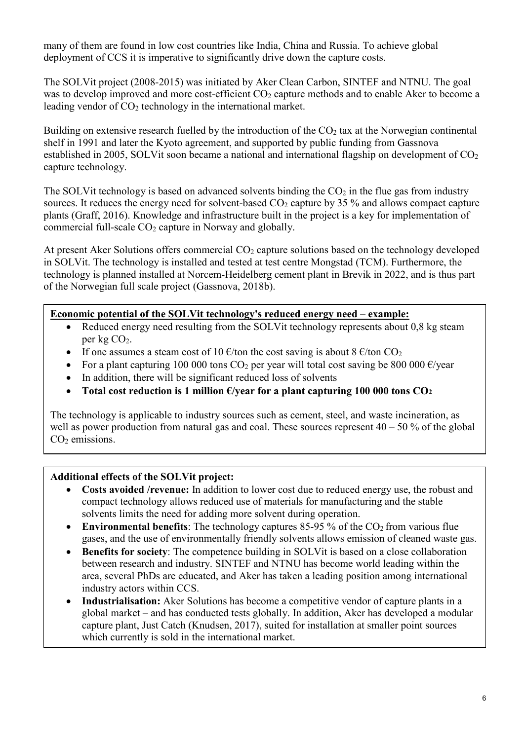many of them are found in low cost countries like India, China and Russia. To achieve global deployment of CCS it is imperative to significantly drive down the capture costs.

The SOLVit project (2008-2015) was initiated by Aker Clean Carbon, SINTEF and NTNU. The goal was to develop improved and more cost-efficient  $CO<sub>2</sub>$  capture methods and to enable Aker to become a leading vendor of CO<sub>2</sub> technology in the international market.

Building on extensive research fuelled by the introduction of the  $CO<sub>2</sub>$  tax at the Norwegian continental shelf in 1991 and later the Kyoto agreement, and supported by public funding from Gassnova established in 2005, SOLVit soon became a national and international flagship on development of  $CO<sub>2</sub>$ capture technology.

The SOLVit technology is based on advanced solvents binding the  $CO<sub>2</sub>$  in the flue gas from industry sources. It reduces the energy need for solvent-based  $CO<sub>2</sub>$  capture by 35 % and allows compact capture plants (Graff, 2016). Knowledge and infrastructure built in the project is a key for implementation of commercial full-scale  $CO<sub>2</sub>$  capture in Norway and globally.

At present Aker Solutions offers commercial  $CO<sub>2</sub>$  capture solutions based on the technology developed in SOLVit. The technology is installed and tested at test centre Mongstad (TCM). Furthermore, the technology is planned installed at Norcem-Heidelberg cement plant in Brevik in 2022, and is thus part of the Norwegian full scale project (Gassnova, 2018b).

### **Economic potential of the SOLVit technology's reduced energy need – example:**

- Reduced energy need resulting from the SOLVit technology represents about 0,8 kg steam per kg CO2.
- If one assumes a steam cost of 10  $\epsilon$ /ton the cost saving is about 8  $\epsilon$ /ton CO<sub>2</sub>
- For a plant capturing 100 000 tons  $CO<sub>2</sub>$  per year will total cost saving be 800 000  $\epsilon$ /year
- In addition, there will be significant reduced loss of solvents
- Total cost reduction is 1 million  $\epsilon$ /year for a plant capturing 100 000 tons  $CO<sub>2</sub>$

The technology is applicable to industry sources such as cement, steel, and waste incineration, as well as power production from natural gas and coal. These sources represent  $40 - 50$  % of the global  $CO<sub>2</sub>$  emissions.

### **Additional effects of the SOLVit project:**

- **Costs avoided /revenue:** In addition to lower cost due to reduced energy use, the robust and compact technology allows reduced use of materials for manufacturing and the stable solvents limits the need for adding more solvent during operation.
- **Environmental benefits**: The technology captures  $85-95\%$  of the  $CO<sub>2</sub>$  from various flue gases, and the use of environmentally friendly solvents allows emission of cleaned waste gas.
- **Benefits for society**: The competence building in SOLVit is based on a close collaboration between research and industry. SINTEF and NTNU has become world leading within the area, several PhDs are educated, and Aker has taken a leading position among international industry actors within CCS.
- **Industrialisation:** Aker Solutions has become a competitive vendor of capture plants in a global market – and has conducted tests globally. In addition, Aker has developed a modular capture plant, Just Catch (Knudsen, 2017), suited for installation at smaller point sources which currently is sold in the international market.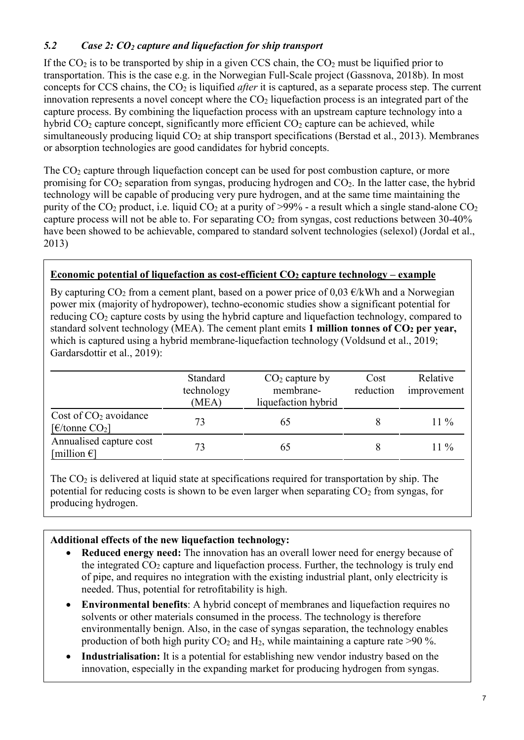## *5.2 Case 2: CO2 capture and liquefaction for ship transport*

If the  $CO<sub>2</sub>$  is to be transported by ship in a given CCS chain, the  $CO<sub>2</sub>$  must be liquified prior to transportation. This is the case e.g. in the Norwegian Full-Scale project (Gassnova, 2018b). In most concepts for CCS chains, the CO<sub>2</sub> is liquified *after* it is captured, as a separate process step. The current innovation represents a novel concept where the  $CO<sub>2</sub>$  liquefaction process is an integrated part of the capture process. By combining the liquefaction process with an upstream capture technology into a hybrid  $CO<sub>2</sub>$  capture concept, significantly more efficient  $CO<sub>2</sub>$  capture can be achieved, while simultaneously producing liquid CO<sub>2</sub> at ship transport specifications (Berstad et al., 2013). Membranes or absorption technologies are good candidates for hybrid concepts.

The  $CO<sub>2</sub>$  capture through liquefaction concept can be used for post combustion capture, or more promising for  $CO_2$  separation from syngas, producing hydrogen and  $CO_2$ . In the latter case, the hybrid technology will be capable of producing very pure hydrogen, and at the same time maintaining the purity of the CO<sub>2</sub> product, i.e. liquid CO<sub>2</sub> at a purity of >99% - a result which a single stand-alone CO<sub>2</sub> capture process will not be able to. For separating  $CO<sub>2</sub>$  from syngas, cost reductions between 30-40% have been showed to be achievable, compared to standard solvent technologies (selexol) (Jordal et al., 2013)

## **Economic potential of liquefaction as cost-efficient CO2 capture technology – example**

By capturing  $CO_2$  from a cement plant, based on a power price of 0,03  $\epsilon/kWh$  and a Norwegian power mix (majority of hydropower), techno-economic studies show a significant potential for reducing CO2 capture costs by using the hybrid capture and liquefaction technology, compared to standard solvent technology (MEA). The cement plant emits **1 million tonnes of CO2 per year,** which is captured using a hybrid membrane-liquefaction technology (Voldsund et al., 2019; Gardarsdottir et al., 2019):

|                                                                  | Standard<br>technology<br>(MEA) | $CO2$ capture by<br>membrane-<br>liquefaction hybrid | Cost<br>reduction | Relative<br>improvement |
|------------------------------------------------------------------|---------------------------------|------------------------------------------------------|-------------------|-------------------------|
| Cost of $CO2$ avoidance<br>[ $\epsilon$ /tonne CO <sub>2</sub> ] | 73                              | 65                                                   |                   | 11 \%                   |
| Annualised capture cost<br>[million $\epsilon$ ]                 |                                 | 65                                                   |                   | 11 \%                   |

The  $CO<sub>2</sub>$  is delivered at liquid state at specifications required for transportation by ship. The potential for reducing costs is shown to be even larger when separating  $CO<sub>2</sub>$  from syngas, for producing hydrogen.

## **Additional effects of the new liquefaction technology:**

- **Reduced energy need:** The innovation has an overall lower need for energy because of the integrated  $CO<sub>2</sub>$  capture and liquefaction process. Further, the technology is truly end of pipe, and requires no integration with the existing industrial plant, only electricity is needed. Thus, potential for retrofitability is high.
- **Environmental benefits**: A hybrid concept of membranes and liquefaction requires no solvents or other materials consumed in the process. The technology is therefore environmentally benign. Also, in the case of syngas separation, the technology enables production of both high purity  $CO_2$  and  $H_2$ , while maintaining a capture rate >90 %.
- **Industrialisation:** It is a potential for establishing new vendor industry based on the innovation, especially in the expanding market for producing hydrogen from syngas.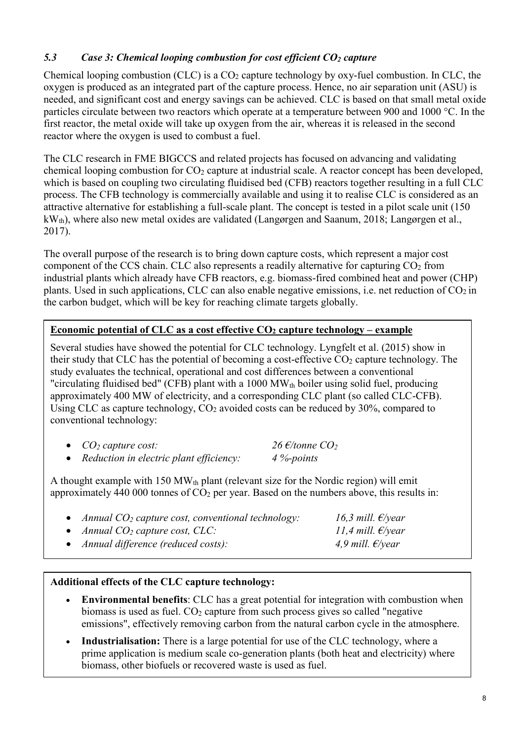## *5.3 Case 3: Chemical looping combustion for cost efficient CO2 capture*

Chemical looping combustion (CLC) is a  $CO<sub>2</sub>$  capture technology by oxy-fuel combustion. In CLC, the oxygen is produced as an integrated part of the capture process. Hence, no air separation unit (ASU) is needed, and significant cost and energy savings can be achieved. CLC is based on that small metal oxide particles circulate between two reactors which operate at a temperature between 900 and 1000 °C. In the first reactor, the metal oxide will take up oxygen from the air, whereas it is released in the second reactor where the oxygen is used to combust a fuel.

The CLC research in FME BIGCCS and related projects has focused on advancing and validating chemical looping combustion for  $CO<sub>2</sub>$  capture at industrial scale. A reactor concept has been developed, which is based on coupling two circulating fluidised bed (CFB) reactors together resulting in a full CLC process. The CFB technology is commercially available and using it to realise CLC is considered as an attractive alternative for establishing a full-scale plant. The concept is tested in a pilot scale unit (150  $kW_{th}$ ), where also new metal oxides are validated (Langørgen and Saanum, 2018; Langørgen et al., 2017).

The overall purpose of the research is to bring down capture costs, which represent a major cost component of the CCS chain. CLC also represents a readily alternative for capturing  $CO<sub>2</sub>$  from industrial plants which already have CFB reactors, e.g. biomass-fired combined heat and power (CHP) plants. Used in such applications, CLC can also enable negative emissions, i.e. net reduction of  $CO<sub>2</sub>$  in the carbon budget, which will be key for reaching climate targets globally.

### **<u>Economic potential of CLC as a cost effective CO<sub>2</sub> capture technology – example</u>**

Several studies have showed the potential for CLC technology. Lyngfelt et al. (2015) show in their study that CLC has the potential of becoming a cost-effective  $CO<sub>2</sub>$  capture technology. The study evaluates the technical, operational and cost differences between a conventional "circulating fluidised bed" (CFB) plant with a  $1000 \, \text{MW}_{th}$  boiler using solid fuel, producing approximately 400 MW of electricity, and a corresponding CLC plant (so called CLC-CFB). Using CLC as capture technology, CO<sub>2</sub> avoided costs can be reduced by 30%, compared to conventional technology:

| $CO2$ capture cost:                     | 26 $\epsilon$ /tonne CO <sub>2</sub> |
|-----------------------------------------|--------------------------------------|
| Reduction in electric plant efficiency: | $4\%$ -points                        |

A thought example with  $150 \text{ MW}_{th}$  plant (relevant size for the Nordic region) will emit approximately 440 000 tonnes of  $CO<sub>2</sub>$  per year. Based on the numbers above, this results in:

| $\bullet$ | • Annual $CO2$ capture cost, conventional technology:<br>• Annual $CO2$ capture cost, $CLC$ :<br>Annual difference (reduced costs): | 16,3 mill. $\epsilon$ /year<br>11,4 mill. $\epsilon$ /year<br>4,9 mill. $\epsilon$ /year |
|-----------|-------------------------------------------------------------------------------------------------------------------------------------|------------------------------------------------------------------------------------------|
|           |                                                                                                                                     |                                                                                          |

## **Additional effects of the CLC capture technology:**

- **Environmental benefits**: CLC has a great potential for integration with combustion when biomass is used as fuel.  $CO<sub>2</sub>$  capture from such process gives so called "negative" emissions", effectively removing carbon from the natural carbon cycle in the atmosphere.
- **Industrialisation:** There is a large potential for use of the CLC technology, where a prime application is medium scale co-generation plants (both heat and electricity) where biomass, other biofuels or recovered waste is used as fuel.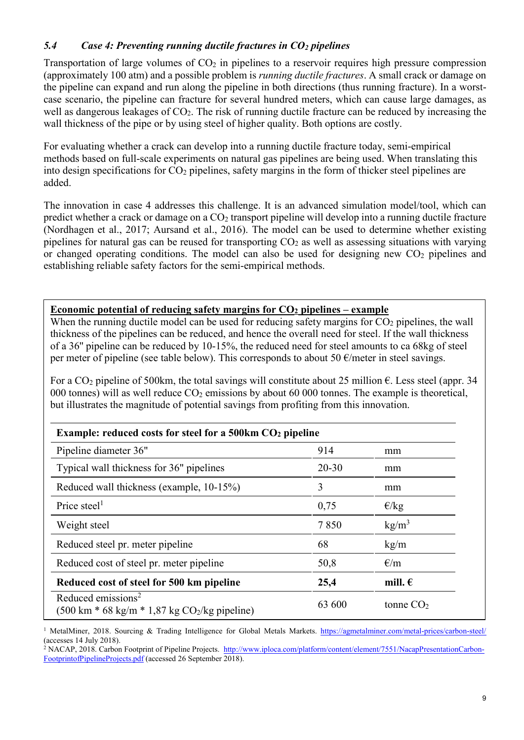### *5.4 Case 4: Preventing running ductile fractures in CO2 pipelines*

Transportation of large volumes of  $CO<sub>2</sub>$  in pipelines to a reservoir requires high pressure compression (approximately 100 atm) and a possible problem is *running ductile fractures*. A small crack or damage on the pipeline can expand and run along the pipeline in both directions (thus running fracture). In a worstcase scenario, the pipeline can fracture for several hundred meters, which can cause large damages, as well as dangerous leakages of CO<sub>2</sub>. The risk of running ductile fracture can be reduced by increasing the wall thickness of the pipe or by using steel of higher quality. Both options are costly.

For evaluating whether a crack can develop into a running ductile fracture today, semi-empirical methods based on full-scale experiments on natural gas pipelines are being used. When translating this into design specifications for  $CO<sub>2</sub>$  pipelines, safety margins in the form of thicker steel pipelines are added.

The innovation in case 4 addresses this challenge. It is an advanced simulation model/tool, which can predict whether a crack or damage on a CO<sub>2</sub> transport pipeline will develop into a running ductile fracture (Nordhagen et al., 2017; Aursand et al., 2016). The model can be used to determine whether existing pipelines for natural gas can be reused for transporting  $CO<sub>2</sub>$  as well as assessing situations with varying or changed operating conditions. The model can also be used for designing new  $CO<sub>2</sub>$  pipelines and establishing reliable safety factors for the semi-empirical methods.

#### **Economic potential of reducing safety margins for CO2 pipelines – example**

When the running ductile model can be used for reducing safety margins for  $CO<sub>2</sub>$  pipelines, the wall thickness of the pipelines can be reduced, and hence the overall need for steel. If the wall thickness of a 36'' pipeline can be reduced by 10-15%, the reduced need for steel amounts to ca 68kg of steel per meter of pipeline (see table below). This corresponds to about 50  $\epsilon$ /meter in steel savings.

For a CO<sub>2</sub> pipeline of 500km, the total savings will constitute about 25 million  $\epsilon$ . Less steel (appr. 34) 000 tonnes) will as well reduce  $CO_2$  emissions by about 60 000 tonnes. The example is theoretical, but illustrates the magnitude of potential savings from profiting from this innovation.

| Example: reduced costs for steel for a 500km CO <sub>2</sub> pipeline                                            |        |                  |  |  |
|------------------------------------------------------------------------------------------------------------------|--------|------------------|--|--|
| Pipeline diameter 36"                                                                                            | 914    | mm               |  |  |
| Typical wall thickness for 36" pipelines                                                                         | 20-30  | mm               |  |  |
| Reduced wall thickness (example, 10-15%)                                                                         | 3      | mm               |  |  |
| Price steel $1$                                                                                                  | 0,75   | E/kg             |  |  |
| Weight steel                                                                                                     | 7850   | $\text{kg/m}^3$  |  |  |
| Reduced steel pr. meter pipeline                                                                                 | 68     | kg/m             |  |  |
| Reduced cost of steel pr. meter pipeline                                                                         | 50,8   | $\epsilon/m$     |  |  |
| Reduced cost of steel for 500 km pipeline                                                                        | 25,4   | mill. $\epsilon$ |  |  |
| Reduced emissions <sup>2</sup><br>$(500 \text{ km} * 68 \text{ kg/m} * 1,87 \text{ kg CO}_2/\text{kg pipeline})$ | 63 600 | tonne $CO2$      |  |  |

<sup>1</sup> MetalMiner, 2018. Sourcing & Trading Intelligence for Global Metals Markets.<https://agmetalminer.com/metal-prices/carbon-steel/> (accesses 14 July 2018).

<sup>2</sup> NACAP, 2018. Carbon Footprint of Pipeline Projects. [http://www.iploca.com/platform/content/element/7551/NacapPresentationCarbon-](http://www.iploca.com/platform/content/element/7551/NacapPresentationCarbon-FootprintofPipelineProjects.pdf)[FootprintofPipelineProjects.pdf](http://www.iploca.com/platform/content/element/7551/NacapPresentationCarbon-FootprintofPipelineProjects.pdf) (accessed 26 September 2018).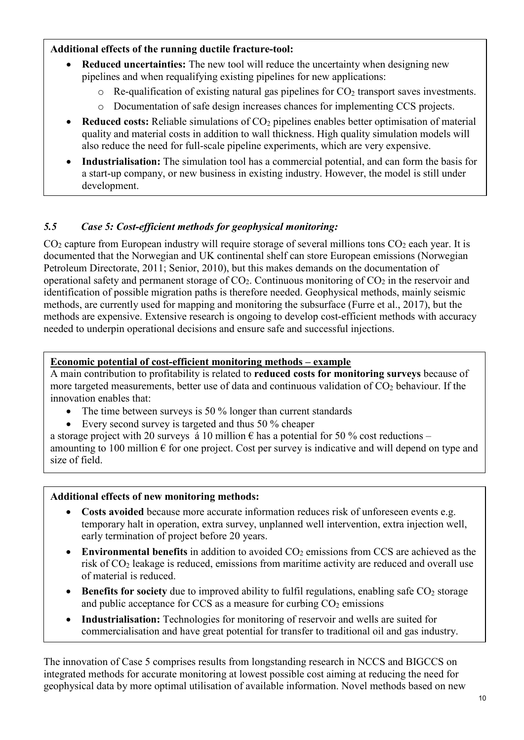## **Additional effects of the running ductile fracture-tool:**

- **Reduced uncertainties:** The new tool will reduce the uncertainty when designing new pipelines and when requalifying existing pipelines for new applications:
	- $\circ$  Re-qualification of existing natural gas pipelines for  $CO<sub>2</sub>$  transport saves investments.
	- o Documentation of safe design increases chances for implementing CCS projects.
- **Reduced costs:** Reliable simulations of CO<sub>2</sub> pipelines enables better optimisation of material quality and material costs in addition to wall thickness. High quality simulation models will also reduce the need for full-scale pipeline experiments, which are very expensive.
- **Industrialisation:** The simulation tool has a commercial potential, and can form the basis for a start-up company, or new business in existing industry. However, the model is still under development.

## *5.5 Case 5: Cost-efficient methods for geophysical monitoring:*

 $CO<sub>2</sub>$  capture from European industry will require storage of several millions tons  $CO<sub>2</sub>$  each year. It is documented that the Norwegian and UK continental shelf can store European emissions (Norwegian Petroleum Directorate, 2011; Senior, 2010), but this makes demands on the documentation of operational safety and permanent storage of  $CO<sub>2</sub>$ . Continuous monitoring of  $CO<sub>2</sub>$  in the reservoir and identification of possible migration paths is therefore needed. Geophysical methods, mainly seismic methods, are currently used for mapping and monitoring the subsurface (Furre et al., 2017), but the methods are expensive. Extensive research is ongoing to develop cost-efficient methods with accuracy needed to underpin operational decisions and ensure safe and successful injections.

### **Economic potential of cost-efficient monitoring methods – example**

A main contribution to profitability is related to **reduced costs for monitoring surveys** because of more targeted measurements, better use of data and continuous validation of  $CO<sub>2</sub>$  behaviour. If the innovation enables that:

- The time between surveys is 50 % longer than current standards
- Every second survey is targeted and thus 50 % cheaper

a storage project with 20 surveys á 10 million  $\epsilon$  has a potential for 50 % cost reductions – amounting to 100 million  $\epsilon$  for one project. Cost per survey is indicative and will depend on type and size of field.

### **Additional effects of new monitoring methods:**

- **Costs avoided** because more accurate information reduces risk of unforeseen events e.g. temporary halt in operation, extra survey, unplanned well intervention, extra injection well, early termination of project before 20 years.
- **Environmental benefits** in addition to avoided CO<sub>2</sub> emissions from CCS are achieved as the risk of CO2 leakage is reduced, emissions from maritime activity are reduced and overall use of material is reduced.
- **Benefits for society** due to improved ability to fulfil regulations, enabling safe CO<sub>2</sub> storage and public acceptance for CCS as a measure for curbing  $CO<sub>2</sub>$  emissions
- **Industrialisation:** Technologies for monitoring of reservoir and wells are suited for commercialisation and have great potential for transfer to traditional oil and gas industry.

The innovation of Case 5 comprises results from longstanding research in NCCS and BIGCCS on integrated methods for accurate monitoring at lowest possible cost aiming at reducing the need for geophysical data by more optimal utilisation of available information. Novel methods based on new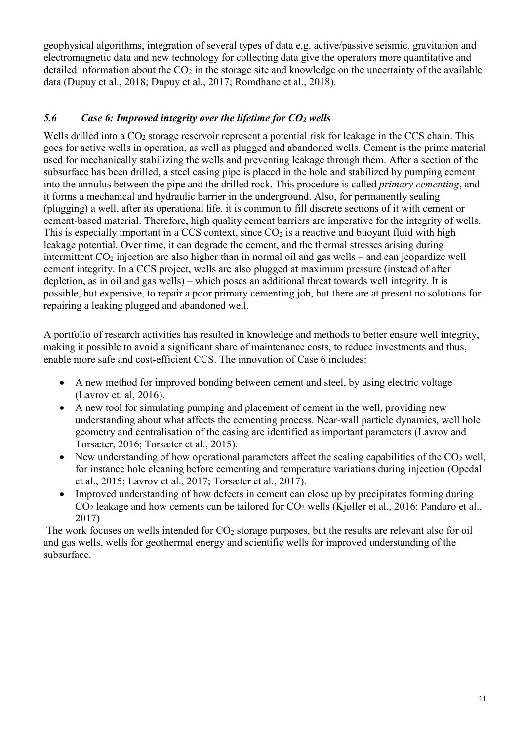geophysical algorithms, integration of several types of data e.g. active/passive seismic, gravitation and electromagnetic data and new technology for collecting data give the operators more quantitative and detailed information about the  $CO<sub>2</sub>$  in the storage site and knowledge on the uncertainty of the available data (Dupuy et al., 2018; Dupuy et al., 2017; Romdhane et al., 2018).

## *5.6 Case 6: Improved integrity over the lifetime for CO2 wells*

Wells drilled into a CO<sub>2</sub> storage reservoir represent a potential risk for leakage in the CCS chain. This goes for active wells in operation, as well as plugged and abandoned wells. Cement is the prime material used for mechanically stabilizing the wells and preventing leakage through them. After a section of the subsurface has been drilled, a steel casing pipe is placed in the hole and stabilized by pumping cement into the annulus between the pipe and the drilled rock. This procedure is called *primary cementing*, and it forms a mechanical and hydraulic barrier in the underground. Also, for permanently sealing (plugging) a well, after its operational life, it is common to fill discrete sections of it with cement or cement-based material. Therefore, high quality cement barriers are imperative for the integrity of wells. This is especially important in a CCS context, since  $CO<sub>2</sub>$  is a reactive and buoyant fluid with high leakage potential. Over time, it can degrade the cement, and the thermal stresses arising during intermittent  $CO<sub>2</sub>$  injection are also higher than in normal oil and gas wells – and can jeopardize well cement integrity. In a CCS project, wells are also plugged at maximum pressure (instead of after depletion, as in oil and gas wells) – which poses an additional threat towards well integrity. It is possible, but expensive, to repair a poor primary cementing job, but there are at present no solutions for repairing a leaking plugged and abandoned well.

A portfolio of research activities has resulted in knowledge and methods to better ensure well integrity, making it possible to avoid a significant share of maintenance costs, to reduce investments and thus, enable more safe and cost-efficient CCS. The innovation of Case 6 includes:

- A new method for improved bonding between cement and steel, by using electric voltage (Lavrov et. al, 2016).
- A new tool for simulating pumping and placement of cement in the well, providing new understanding about what affects the cementing process. Near-wall particle dynamics, well hole geometry and centralisation of the casing are identified as important parameters (Lavrov and Torsæter, 2016; Torsæter et al., 2015).
- New understanding of how operational parameters affect the sealing capabilities of the  $CO<sub>2</sub>$  well, for instance hole cleaning before cementing and temperature variations during injection (Opedal et al., 2015; Lavrov et al., 2017; Torsæter et al., 2017).
- Improved understanding of how defects in cement can close up by precipitates forming during  $CO<sub>2</sub>$  leakage and how cements can be tailored for  $CO<sub>2</sub>$  wells (Kjøller et al., 2016; Panduro et al., 2017)

The work focuses on wells intended for CO<sub>2</sub> storage purposes, but the results are relevant also for oil and gas wells, wells for geothermal energy and scientific wells for improved understanding of the subsurface.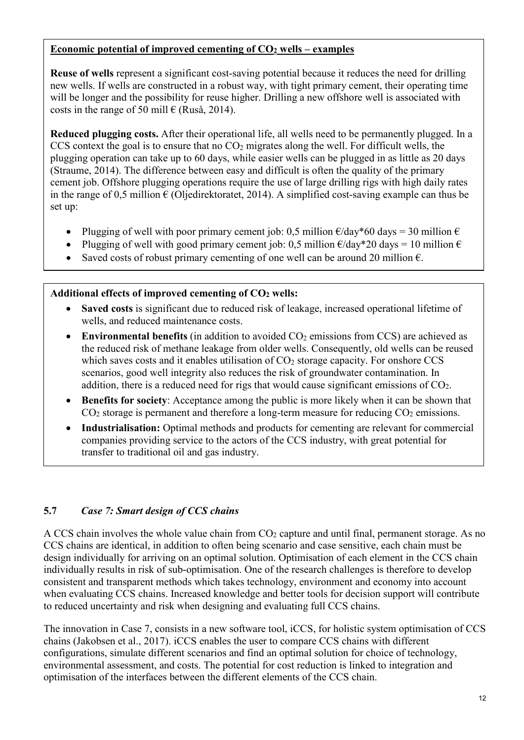### **<u>Economic potential of improved cementing of**  $CO<sub>2</sub>$  **wells – examples</u>**

**Reuse of wells** represent a significant cost-saving potential because it reduces the need for drilling new wells. If wells are constructed in a robust way, with tight primary cement, their operating time will be longer and the possibility for reuse higher. Drilling a new offshore well is associated with costs in the range of 50 mill  $\epsilon$  (Ruså, 2014).

**Reduced plugging costs.** After their operational life, all wells need to be permanently plugged. In a CCS context the goal is to ensure that no  $CO<sub>2</sub>$  migrates along the well. For difficult wells, the plugging operation can take up to 60 days, while easier wells can be plugged in as little as 20 days (Straume, 2014). The difference between easy and difficult is often the quality of the primary cement job. Offshore plugging operations require the use of large drilling rigs with high daily rates in the range of 0,5 million  $\epsilon$  (Oljedirektoratet, 2014). A simplified cost-saving example can thus be set up:

- Plugging of well with poor primary cement job: 0,5 million  $\epsilon$ /day\*60 days = 30 million  $\epsilon$
- Plugging of well with good primary cement job: 0,5 million  $\epsilon$ /day\*20 days = 10 million  $\epsilon$
- Saved costs of robust primary cementing of one well can be around 20 million  $\epsilon$ .

### **Additional effects of improved cementing of CO2 wells:**

- **Saved costs** is significant due to reduced risk of leakage, increased operational lifetime of wells, and reduced maintenance costs.
- **Environmental benefits** (in addition to avoided  $CO<sub>2</sub>$  emissions from CCS) are achieved as the reduced risk of methane leakage from older wells. Consequently, old wells can be reused which saves costs and it enables utilisation of  $CO<sub>2</sub>$  storage capacity. For onshore  $CCS$ scenarios, good well integrity also reduces the risk of groundwater contamination. In addition, there is a reduced need for rigs that would cause significant emissions of  $CO<sub>2</sub>$ .
- **Benefits for society**: Acceptance among the public is more likely when it can be shown that  $CO<sub>2</sub>$  storage is permanent and therefore a long-term measure for reducing  $CO<sub>2</sub>$  emissions.
- **Industrialisation:** Optimal methods and products for cementing are relevant for commercial companies providing service to the actors of the CCS industry, with great potential for transfer to traditional oil and gas industry.

## **5.7** *Case 7: Smart design of CCS chains*

A CCS chain involves the whole value chain from  $CO<sub>2</sub>$  capture and until final, permanent storage. As no CCS chains are identical, in addition to often being scenario and case sensitive, each chain must be design individually for arriving on an optimal solution. Optimisation of each element in the CCS chain individually results in risk of sub-optimisation. One of the research challenges is therefore to develop consistent and transparent methods which takes technology, environment and economy into account when evaluating CCS chains. Increased knowledge and better tools for decision support will contribute to reduced uncertainty and risk when designing and evaluating full CCS chains.

The innovation in Case 7, consists in a new software tool, iCCS, for holistic system optimisation of CCS chains (Jakobsen et al., 2017). iCCS enables the user to compare CCS chains with different configurations, simulate different scenarios and find an optimal solution for choice of technology, environmental assessment, and costs. The potential for cost reduction is linked to integration and optimisation of the interfaces between the different elements of the CCS chain.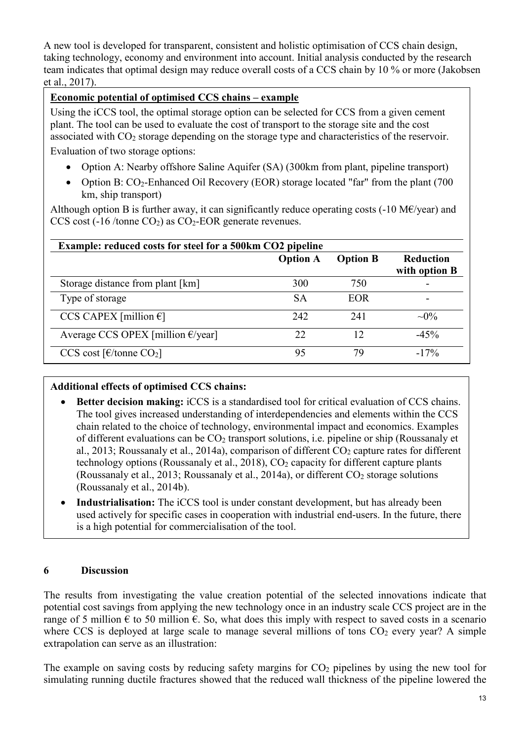A new tool is developed for transparent, consistent and holistic optimisation of CCS chain design, taking technology, economy and environment into account. Initial analysis conducted by the research team indicates that optimal design may reduce overall costs of a CCS chain by 10 % or more (Jakobsen et al., 2017).

## **Economic potential of optimised CCS chains – example**

Using the iCCS tool, the optimal storage option can be selected for CCS from a given cement plant. The tool can be used to evaluate the cost of transport to the storage site and the cost associated with CO<sub>2</sub> storage depending on the storage type and characteristics of the reservoir. Evaluation of two storage options:

- Option A: Nearby offshore Saline Aquifer (SA) (300km from plant, pipeline transport)
- Option B:  $CO_2$ -Enhanced Oil Recovery (EOR) storage located "far" from the plant (700 km, ship transport)

Although option B is further away, it can significantly reduce operating costs  $(-10 \text{ Mf/year})$  and CCS cost  $(-16 / \text{tonne CO}_2)$  as  $CO_2$ -EOR generate revenues.

| <b>Example: reduced costs for steel for a 500km CO2 pipeline</b>   |                 |                 |                                   |  |
|--------------------------------------------------------------------|-----------------|-----------------|-----------------------------------|--|
|                                                                    | <b>Option A</b> | <b>Option B</b> | <b>Reduction</b><br>with option B |  |
| Storage distance from plant [km]                                   | 300             | 750             |                                   |  |
| Type of storage                                                    | <b>SA</b>       | <b>EOR</b>      |                                   |  |
| CCS CAPEX [million $\epsilon$ ]                                    | 242             | 241             | $\sim 0\%$                        |  |
| Average CCS OPEX [million $\epsilon$ /year]                        | 22              | 12              | $-45%$                            |  |
| CCS cost $\lceil \frac{\epsilon}{\text{tonne}} \text{CO}_2 \rceil$ | 95              | 79              | $-17\%$                           |  |

## **Additional effects of optimised CCS chains:**

- **Better decision making:** iCCS is a standardised tool for critical evaluation of CCS chains. The tool gives increased understanding of interdependencies and elements within the CCS chain related to the choice of technology, environmental impact and economics. Examples of different evaluations can be  $CO<sub>2</sub>$  transport solutions, i.e. pipeline or ship (Roussanaly et al., 2013; Roussanaly et al., 2014a), comparison of different  $CO<sub>2</sub>$  capture rates for different technology options (Roussanaly et al., 2018), CO<sub>2</sub> capacity for different capture plants (Roussanaly et al., 2013; Roussanaly et al., 2014a), or different  $CO<sub>2</sub>$  storage solutions (Roussanaly et al., 2014b).
- **Industrialisation:** The iCCS tool is under constant development, but has already been used actively for specific cases in cooperation with industrial end-users. In the future, there is a high potential for commercialisation of the tool.

## **6 Discussion**

The results from investigating the value creation potential of the selected innovations indicate that potential cost savings from applying the new technology once in an industry scale CCS project are in the range of 5 million  $\epsilon$  to 50 million  $\epsilon$ . So, what does this imply with respect to saved costs in a scenario where CCS is deployed at large scale to manage several millions of tons  $CO<sub>2</sub>$  every year? A simple extrapolation can serve as an illustration:

The example on saving costs by reducing safety margins for  $CO<sub>2</sub>$  pipelines by using the new tool for simulating running ductile fractures showed that the reduced wall thickness of the pipeline lowered the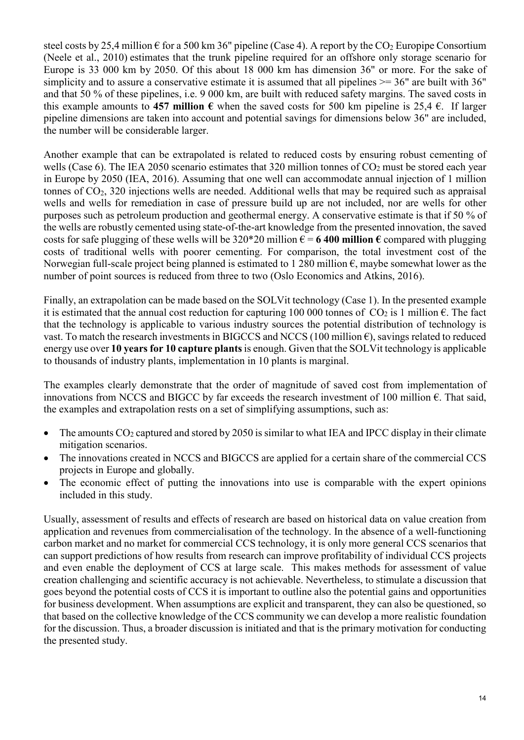steel costs by 25,4 million  $\epsilon$  for a 500 km 36" pipeline (Case 4). A report by the CO<sub>2</sub> Europipe Consortium (Neele et al., 2010) estimates that the trunk pipeline required for an offshore only storage scenario for Europe is 33 000 km by 2050. Of this about 18 000 km has dimension 36" or more. For the sake of simplicity and to assure a conservative estimate it is assumed that all pipelines  $\geq$  36" are built with 36" and that 50 % of these pipelines, i.e. 9 000 km, are built with reduced safety margins. The saved costs in this example amounts to **457 million**  $\epsilon$  when the saved costs for 500 km pipeline is 25,4  $\epsilon$ . If larger pipeline dimensions are taken into account and potential savings for dimensions below 36" are included, the number will be considerable larger.

Another example that can be extrapolated is related to reduced costs by ensuring robust cementing of wells (Case 6). The IEA 2050 scenario estimates that 320 million tonnes of  $CO<sub>2</sub>$  must be stored each year in Europe by 2050 (IEA, 2016). Assuming that one well can accommodate annual injection of 1 million tonnes of CO2, 320 injections wells are needed. Additional wells that may be required such as appraisal wells and wells for remediation in case of pressure build up are not included, nor are wells for other purposes such as petroleum production and geothermal energy. A conservative estimate is that if 50 % of the wells are robustly cemented using state-of-the-art knowledge from the presented innovation, the saved costs for safe plugging of these wells will be  $320*20$  million  $\epsilon = 6400$  million  $\epsilon$  compared with plugging costs of traditional wells with poorer cementing. For comparison, the total investment cost of the Norwegian full-scale project being planned is estimated to 1 280 million  $\epsilon$ , maybe somewhat lower as the number of point sources is reduced from three to two (Oslo Economics and Atkins, 2016).

Finally, an extrapolation can be made based on the SOLVit technology (Case 1). In the presented example it is estimated that the annual cost reduction for capturing 100 000 tonnes of  $CO_2$  is 1 million  $\epsilon$ . The fact that the technology is applicable to various industry sources the potential distribution of technology is vast. To match the research investments in BIGCCS and NCCS (100 million  $\epsilon$ ), savings related to reduced energy use over **10 years for 10 capture plants**is enough. Given that the SOLVit technology is applicable to thousands of industry plants, implementation in 10 plants is marginal.

The examples clearly demonstrate that the order of magnitude of saved cost from implementation of innovations from NCCS and BIGCC by far exceeds the research investment of 100 million  $\epsilon$ . That said, the examples and extrapolation rests on a set of simplifying assumptions, such as:

- The amounts  $CO_2$  captured and stored by 2050 is similar to what IEA and IPCC display in their climate mitigation scenarios.
- The innovations created in NCCS and BIGCCS are applied for a certain share of the commercial CCS projects in Europe and globally.
- The economic effect of putting the innovations into use is comparable with the expert opinions included in this study.

Usually, assessment of results and effects of research are based on historical data on value creation from application and revenues from commercialisation of the technology. In the absence of a well-functioning carbon market and no market for commercial CCS technology, it is only more general CCS scenarios that can support predictions of how results from research can improve profitability of individual CCS projects and even enable the deployment of CCS at large scale. This makes methods for assessment of value creation challenging and scientific accuracy is not achievable. Nevertheless, to stimulate a discussion that goes beyond the potential costs of CCS it is important to outline also the potential gains and opportunities for business development. When assumptions are explicit and transparent, they can also be questioned, so that based on the collective knowledge of the CCS community we can develop a more realistic foundation for the discussion. Thus, a broader discussion is initiated and that is the primary motivation for conducting the presented study.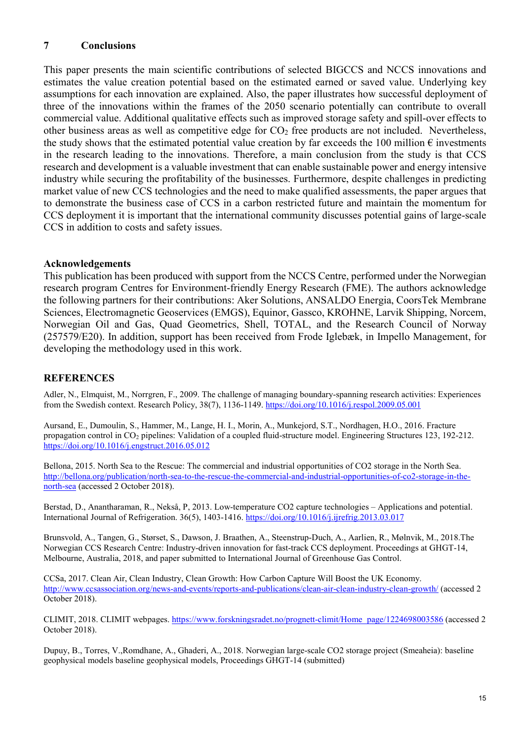#### **7 Conclusions**

This paper presents the main scientific contributions of selected BIGCCS and NCCS innovations and estimates the value creation potential based on the estimated earned or saved value. Underlying key assumptions for each innovation are explained. Also, the paper illustrates how successful deployment of three of the innovations within the frames of the 2050 scenario potentially can contribute to overall commercial value. Additional qualitative effects such as improved storage safety and spill-over effects to other business areas as well as competitive edge for  $CO<sub>2</sub>$  free products are not included. Nevertheless, the study shows that the estimated potential value creation by far exceeds the 100 million  $\epsilon$  investments in the research leading to the innovations. Therefore, a main conclusion from the study is that CCS research and development is a valuable investment that can enable sustainable power and energy intensive industry while securing the profitability of the businesses. Furthermore, despite challenges in predicting market value of new CCS technologies and the need to make qualified assessments, the paper argues that to demonstrate the business case of CCS in a carbon restricted future and maintain the momentum for CCS deployment it is important that the international community discusses potential gains of large-scale CCS in addition to costs and safety issues.

#### **Acknowledgements**

This publication has been produced with support from the NCCS Centre, performed under the Norwegian research program Centres for Environment-friendly Energy Research (FME). The authors acknowledge the following partners for their contributions: Aker Solutions, ANSALDO Energia, CoorsTek Membrane Sciences, Electromagnetic Geoservices (EMGS), Equinor, Gassco, KROHNE, Larvik Shipping, Norcem, Norwegian Oil and Gas, Quad Geometrics, Shell, TOTAL, and the Research Council of Norway (257579/E20). In addition, support has been received from Frode Iglebæk, in Impello Management, for developing the methodology used in this work.

### **REFERENCES**

Adler, N., Elmquist, M., Norrgren, F., 2009. The challenge of managing boundary-spanning research activities: Experiences from the Swedish context. Research Policy, 38(7), 1136-1149.<https://doi.org/10.1016/j.respol.2009.05.001>

Aursand, E., Dumoulin, S., Hammer, M., Lange, H. I., Morin, A., Munkejord, S.T., Nordhagen, H.O., 2016. Fracture propagation control in CO2 pipelines: Validation of a coupled fluid-structure model. Engineering Structures 123, 192-212. <https://doi.org/10.1016/j.engstruct.2016.05.012>

Bellona, 2015. North Sea to the Rescue: The commercial and industrial opportunities of CO2 storage in the North Sea. [http://bellona.org/publication/north-sea-to-the-rescue-the-commercial-and-industrial-opportunities-of-co2-storage-in-the](http://bellona.org/publication/north-sea-to-the-rescue-the-commercial-and-industrial-opportunities-of-co2-storage-in-the-north-sea)[north-sea](http://bellona.org/publication/north-sea-to-the-rescue-the-commercial-and-industrial-opportunities-of-co2-storage-in-the-north-sea) (accessed 2 October 2018).

Berstad, D., Anantharaman, R., Nekså, P, 2013. Low-temperature CO2 capture technologies – Applications and potential. International Journal of Refrigeration. 36(5), 1403-1416.<https://doi.org/10.1016/j.ijrefrig.2013.03.017>

Brunsvold, A., Tangen, G., Størset, S., Dawson, J. Braathen, A., Steenstrup-Duch, A., Aarlien, R., Mølnvik, M., 2018.The Norwegian CCS Research Centre: Industry-driven innovation for fast-track CCS deployment. Proceedings at GHGT-14, Melbourne, Australia, 2018, and paper submitted to International Journal of Greenhouse Gas Control.

CCSa, 2017. Clean Air, Clean Industry, Clean Growth: How Carbon Capture Will Boost the UK Economy. <http://www.ccsassociation.org/news-and-events/reports-and-publications/clean-air-clean-industry-clean-growth/> (accessed 2 October 2018).

CLIMIT, 2018. CLIMIT webpages. [https://www.forskningsradet.no/prognett-climit/Home\\_page/1224698003586](https://www.forskningsradet.no/prognett-climit/Home_page/1224698003586) (accessed 2 October 2018).

Dupuy, B., Torres, V.,Romdhane, A., Ghaderi, A., 2018. Norwegian large-scale CO2 storage project (Smeaheia): baseline geophysical models baseline geophysical models, Proceedings GHGT-14 (submitted)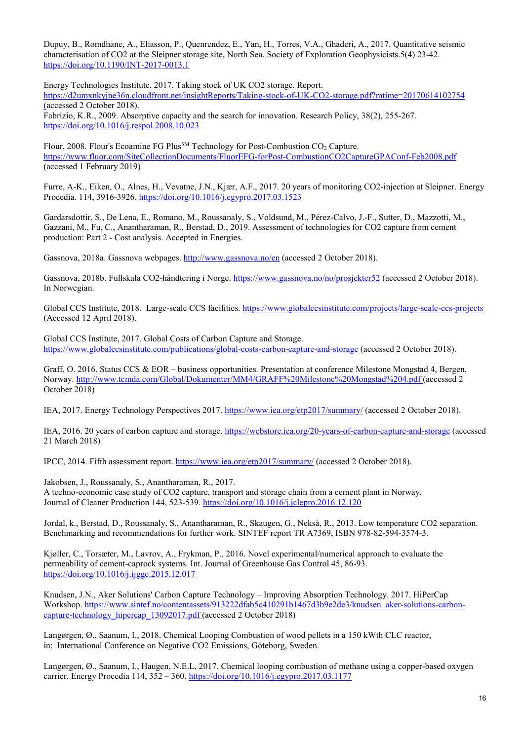Dupuy, B., Romdhane, A., Eliasson, P., Quenrendez, E., Yan, H., Torres, V.A., Ghaderi, A., 2017. Quantitative seismic characterisation of CO2 at the Sleipner storage site, North Sea. Society of Exploration Geophysicists.5(4) 23-42. <https://doi.org/10.1190/INT-2017-0013.1>

Energy Technologies Institute. 2017. Taking stock of UK CO2 storage. Report. <https://d2umxnkyjne36n.cloudfront.net/insightReports/Taking-stock-of-UK-CO2-storage.pdf?mtime=20170614102754> (accessed 2 October 2018). Fabrizio, K.R., 2009. Absorptive capacity and the search for innovation. Research Policy, 38(2), 255-267. <https://doi.org/10.1016/j.respol.2008.10.023>

Flour, 2008. Flour's Ecoamine FG Plus<sup>SM</sup> Technology for Post-Combustion CO<sub>2</sub> Capture. <https://www.fluor.com/SiteCollectionDocuments/FluorEFG-forPost-CombustionCO2CaptureGPAConf-Feb2008.pdf> (accessed 1 February 2019)

Furre, A-K., Eiken, O., Alnes, H., Vevatne, J.N., Kjær, A.F., 2017. 20 years of monitoring CO2-injection at Sleipner. Energy Procedia. 114, 3916-3926. <https://doi.org/10.1016/j.egypro.2017.03.1523>

Gardarsdottir, S., De Lena, E., Romano, M., Roussanaly, S., Voldsund, M., Pérez-Calvo, J.-F., Sutter, D., Mazzotti, M., Gazzani, M., Fu, C., Anantharaman, R., Berstad, D., 2019. Assessment of technologies for CO2 capture from cement production: Part 2 - Cost analysis. Accepted in Energies.

Gassnova, 2018a. Gassnova webpages[. http://www.gassnova.no/en](http://www.gassnova.no/en) (accessed 2 October 2018).

Gassnova, 2018b. Fullskala CO2-håndtering i Norge.<https://www.gassnova.no/no/prosjekter52> (accessed 2 October 2018). In Norwegian.

Global CCS Institute, 2018. Large-scale CCS facilities.<https://www.globalccsinstitute.com/projects/large-scale-ccs-projects> (Accessed 12 April 2018).

Global CCS Institute, 2017. Global Costs of Carbon Capture and Storage. <https://www.globalccsinstitute.com/publications/global-costs-carbon-capture-and-storage> (accessed 2 October 2018).

Graff, O. 2016. Status CCS & EOR – business opportunities. Presentation at conference Milestone Mongstad 4, Bergen, Norway.<http://www.tcmda.com/Global/Dokumenter/MM4/GRAFF%20Milestone%20Mongstad%204.pdf> (accessed 2 October 2018)

IEA, 2017. Energy Technology Perspectives 2017.<https://www.iea.org/etp2017/summary/> (accessed 2 October 2018).

IEA, 2016. 20 years of carbon capture and storage[. https://webstore.iea.org/20-years-of-carbon-capture-and-storage](https://webstore.iea.org/20-years-of-carbon-capture-and-storage) (accessed 21 March 2018)

IPCC, 2014. Fifth assessment report[. https://www.iea.org/etp2017/summary/](https://www.iea.org/etp2017/summary/) (accessed 2 October 2018).

Jakobsen, J., Roussanaly, S., Anantharaman, R., 2017. A techno-economic case study of CO2 capture, transport and storage chain from a cement plant in Norway. Journal of Cleaner Production 144, 523-539[. https://doi.org/10.1016/j.jclepro.2016.12.120](https://doi.org/10.1016/j.jclepro.2016.12.120)

Jordal, k., Berstad, D., Roussanaly, S., Anantharaman, R., Skaugen, G., Nekså, R., 2013. Low temperature CO2 separation. Benchmarking and recommendations for further work. SINTEF report TR A7369, ISBN 978-82-594-3574-3.

Kjøller, C., Torsæter, M., Lavrov, A., Frykman, P., 2016. Novel experimental/numerical approach to evaluate the permeability of cement-caprock systems. Int. Journal of Greenhouse Gas Control 45, 86-93. <https://doi.org/10.1016/j.ijggc.2015.12.017>

Knudsen, J.N., Aker Solutions' Carbon Capture Technology – Improving Absorption Technology. 2017. HiPerCap Workshop. [https://www.sintef.no/contentassets/913222dfab5c410291b1467d3b9e2de3/knudsen\\_aker-solutions-carbon](https://www.sintef.no/contentassets/913222dfab5c410291b1467d3b9e2de3/knudsen_aker-solutions-carbon-capture-technology_hipercap_13092017.pdf)[capture-technology\\_hipercap\\_13092017.pdf](https://www.sintef.no/contentassets/913222dfab5c410291b1467d3b9e2de3/knudsen_aker-solutions-carbon-capture-technology_hipercap_13092017.pdf) (accessed 2 October 2018)

Langørgen, Ø., Saanum, I., 2018. Chemical Looping Combustion of wood pellets in a 150 kWth CLC reactor, in: International Conference on Negative CO2 Emissions, Göteborg, Sweden.

Langørgen, Ø., Saanum, I., Haugen, N.E.L, 2017. Chemical looping combustion of methane using a copper-based oxygen carrier. Energy Procedia 114, 352 – 360[. https://doi.org/10.1016/j.egypro.2017.03.1177](https://doi.org/10.1016/j.egypro.2017.03.1177)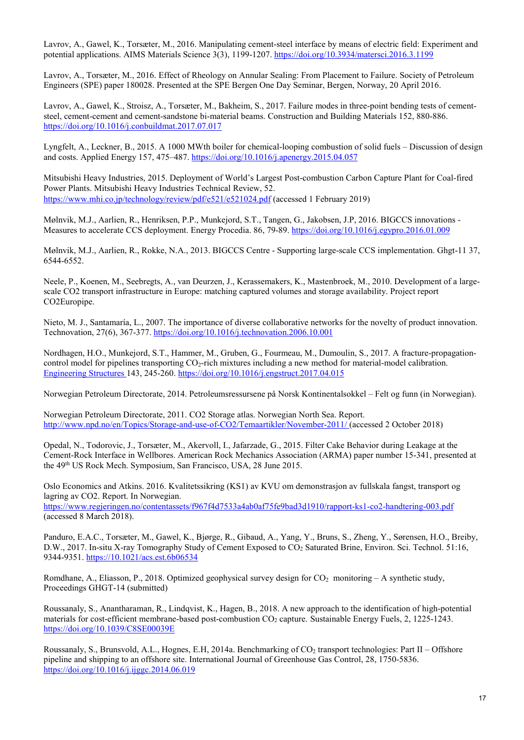Lavrov, A., Gawel, K., Torsæter, M., 2016. Manipulating cement-steel interface by means of electric field: Experiment and potential applications. AIMS Materials Science 3(3), 1199-1207.<https://doi.org/10.3934/matersci.2016.3.1199>

Lavrov, A., Torsæter, M., 2016. Effect of Rheology on Annular Sealing: From Placement to Failure. Society of Petroleum Engineers (SPE) paper 180028. Presented at the SPE Bergen One Day Seminar, Bergen, Norway, 20 April 2016.

Lavrov, A., Gawel, K., Stroisz, A., Torsæter, M., Bakheim, S., 2017. Failure modes in three-point bending tests of cementsteel, cement-cement and cement-sandstone bi-material beams. Construction and Building Materials 152, 880-886. <https://doi.org/10.1016/j.conbuildmat.2017.07.017>

Lyngfelt, A., Leckner, B., 2015. A 1000 MWth boiler for chemical-looping combustion of solid fuels – Discussion of design and costs. Applied Energy 157, 475–487[. https://doi.org/10.1016/j.apenergy.2015.04.057](https://doi.org/10.1016/j.apenergy.2015.04.057)

Mitsubishi Heavy Industries, 2015. Deployment of World's Largest Post-combustion Carbon Capture Plant for Coal-fired Power Plants. Mitsubishi Heavy Industries Technical Review, 52. <https://www.mhi.co.jp/technology/review/pdf/e521/e521024.pdf> (accessed 1 February 2019)

Mølnvik, M.J., Aarlien, R., Henriksen, P.P., Munkejord, S.T., Tangen, G., Jakobsen, J.P, 2016. BIGCCS innovations - Measures to accelerate CCS deployment. Energy Procedia. 86, 79-89[. https://doi.org/10.1016/j.egypro.2016.01.009](https://doi.org/10.1016/j.egypro.2016.01.009)

Mølnvik, M.J., Aarlien, R., Rokke, N.A., 2013. BIGCCS Centre - Supporting large-scale CCS implementation. Ghgt-11 37, 6544-6552.

Neele, P., Koenen, M., Seebregts, A., van Deurzen, J., Kerassemakers, K., Mastenbroek, M., 2010. Development of a largescale CO2 transport infrastructure in Europe: matching captured volumes and storage availability. Project report CO2Europipe.

Nieto, M. J., Santamaría, L., 2007. The importance of diverse collaborative networks for the novelty of product innovation. Technovation, 27(6), 367-377[. https://doi.org/10.1016/j.technovation.2006.10.001](https://doi.org/10.1016/j.technovation.2006.10.001)

Nordhagen, H.O., Munkejord, S.T., Hammer, M., Gruben, G., Fourmeau, M., Dumoulin, S., 2017. A fracture-propagationcontrol model for pipelines transporting  $CO<sub>2</sub>$ -rich mixtures including a new method for material-model calibration. Engineering Structures 143, 245-260.<https://doi.org/10.1016/j.engstruct.2017.04.015>

Norwegian Petroleum Directorate, 2014. Petroleumsressursene på Norsk Kontinentalsokkel – Felt og funn (in Norwegian).

Norwegian Petroleum Directorate, 2011. CO2 Storage atlas. Norwegian North Sea. Report. <http://www.npd.no/en/Topics/Storage-and-use-of-CO2/Temaartikler/November-2011/> (accessed 2 October 2018)

Opedal, N., Todorovic, J., Torsæter, M., Akervoll, I., Jafarzade, G., 2015. Filter Cake Behavior during Leakage at the Cement-Rock Interface in Wellbores. American Rock Mechanics Association (ARMA) paper number 15-341, presented at the 49th US Rock Mech. Symposium, San Francisco, USA, 28 June 2015.

Oslo Economics and Atkins. 2016. Kvalitetssikring (KS1) av KVU om demonstrasjon av fullskala fangst, transport og lagring av CO2. Report. In Norwegian. <https://www.regjeringen.no/contentassets/f967f4d7533a4ab0af75fe9bad3d1910/rapport-ks1-co2-handtering-003.pdf>

(accessed 8 March 2018).

Panduro, E.A.C., Torsæter, M., Gawel, K., Bjørge, R., Gibaud, A., Yang, Y., Bruns, S., Zheng, Y., Sørensen, H.O., Breiby, D.W., 2017. In-situ X-ray Tomography Study of Cement Exposed to CO<sub>2</sub> Saturated Brine, Environ. Sci. Technol. 51:16, 9344-9351. [https://10.1021/acs.est.6b06534](https://10.0.3.253/acs.est.6b06534)

Romdhane, A., Eliasson, P., 2018. Optimized geophysical survey design for  $CO<sub>2</sub>$  monitoring – A synthetic study, Proceedings GHGT-14 (submitted)

Roussanaly, S., Anantharaman, R., Lindqvist, K., Hagen, B., 2018. A new approach to the identification of high-potential materials for cost-efficient membrane-based post-combustion CO<sub>2</sub> capture. Sustainable Energy Fuels, 2, 1225-1243. <https://doi.org/10.1039/C8SE00039E>

Roussanaly, S., Brunsvold, A.L., Hognes, E.H, 2014a. Benchmarking of  $CO<sub>2</sub>$  transport technologies: Part II – Offshore pipeline and shipping to an offshore site. International Journal of Greenhouse Gas Control, 28, 1750-5836. <https://doi.org/10.1016/j.ijggc.2014.06.019>